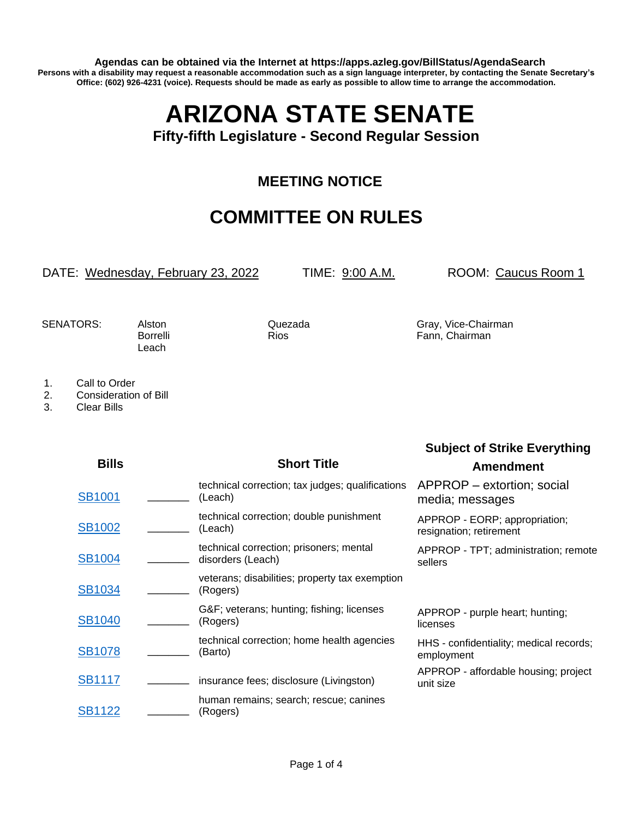**Agendas can be obtained via the Internet at https://apps.azleg.gov/BillStatus/AgendaSearch Persons with a disability may request a reasonable accommodation such as a sign language interpreter, by contacting the Senate Secretary's Office: (602) 926-4231 (voice). Requests should be made as early as possible to allow time to arrange the accommodation.**

## **ARIZONA STATE SENATE**

**Fifty-fifth Legislature - Second Regular Session**

## **MEETING NOTICE**

## **COMMITTEE ON RULES**

## DATE: Wednesday, February 23, 2022 TIME: 9:00 A.M. ROOM: Caucus Room 1

**Subject of Strike Everything**

Leach

SENATORS: Alston Quezada Gray, Vice-Chairman Borrelli Rios Rios Fann, Chairman

1. Call to Order

2. Consideration of Bill

3. Clear Bills

| <b>Bills</b>  | <b>Short Title</b>                                           | <b>Amendment</b>                                         |
|---------------|--------------------------------------------------------------|----------------------------------------------------------|
| <b>SB1001</b> | technical correction; tax judges; qualifications<br>(Leach)  | APPROP – extortion; social<br>media; messages            |
| <b>SB1002</b> | technical correction; double punishment<br>(Leach)           | APPROP - EORP; appropriation;<br>resignation; retirement |
| <b>SB1004</b> | technical correction; prisoners; mental<br>disorders (Leach) | APPROP - TPT; administration; remote<br>sellers          |
| <b>SB1034</b> | veterans; disabilities; property tax exemption<br>(Rogers)   |                                                          |
| <b>SB1040</b> | G&F veterans; hunting; fishing; licenses<br>(Rogers)         | APPROP - purple heart; hunting;<br>licenses              |
| <b>SB1078</b> | technical correction; home health agencies<br>(Barto)        | HHS - confidentiality; medical records;<br>employment    |
| <b>SB1117</b> | insurance fees; disclosure (Livingston)                      | APPROP - affordable housing; project<br>unit size        |
| <b>SB1122</b> | human remains; search; rescue; canines<br>(Rogers)           |                                                          |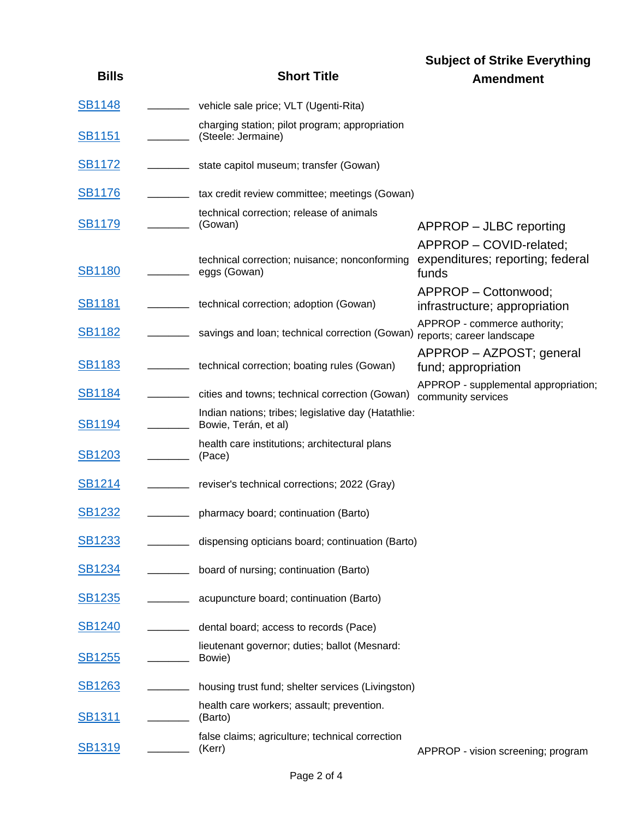|               |                                                                             | <b>Subject of Strike Everything</b>                                  |
|---------------|-----------------------------------------------------------------------------|----------------------------------------------------------------------|
| <b>Bills</b>  | <b>Short Title</b>                                                          | <b>Amendment</b>                                                     |
| <b>SB1148</b> | vehicle sale price; VLT (Ugenti-Rita)                                       |                                                                      |
| <b>SB1151</b> | charging station; pilot program; appropriation<br>(Steele: Jermaine)        |                                                                      |
| <b>SB1172</b> | state capitol museum; transfer (Gowan)                                      |                                                                      |
| <b>SB1176</b> | tax credit review committee; meetings (Gowan)                               |                                                                      |
| <b>SB1179</b> | technical correction; release of animals<br>(Gowan)                         | APPROP – JLBC reporting                                              |
| <b>SB1180</b> | technical correction; nuisance; nonconforming<br>eggs (Gowan)               | APPROP - COVID-related;<br>expenditures; reporting; federal<br>funds |
| <b>SB1181</b> | technical correction; adoption (Gowan)                                      | APPROP - Cottonwood;<br>infrastructure; appropriation                |
| <u>SB1182</u> | savings and loan; technical correction (Gowan)                              | APPROP - commerce authority;<br>reports; career landscape            |
| <b>SB1183</b> | technical correction; boating rules (Gowan)                                 | APPROP - AZPOST; general<br>fund; appropriation                      |
| <u>SB1184</u> | cities and towns; technical correction (Gowan)                              | APPROP - supplemental appropriation;<br>community services           |
| <b>SB1194</b> | Indian nations; tribes; legislative day (Hatathlie:<br>Bowie, Terán, et al) |                                                                      |
| <b>SB1203</b> | health care institutions; architectural plans<br>(Pace)                     |                                                                      |
| <b>SB1214</b> | reviser's technical corrections; 2022 (Gray)                                |                                                                      |
| <b>SB1232</b> | pharmacy board; continuation (Barto)                                        |                                                                      |
| <b>SB1233</b> | dispensing opticians board; continuation (Barto)                            |                                                                      |
| <u>SB1234</u> | board of nursing; continuation (Barto)                                      |                                                                      |
| <u>SB1235</u> | acupuncture board; continuation (Barto)                                     |                                                                      |
| SB1240        | dental board; access to records (Pace)                                      |                                                                      |
| <b>SB1255</b> | lieutenant governor; duties; ballot (Mesnard:<br>Bowie)                     |                                                                      |
| <u>SB1263</u> | housing trust fund; shelter services (Livingston)                           |                                                                      |
| <b>SB1311</b> | health care workers; assault; prevention.<br>(Barto)                        |                                                                      |
| <b>SB1319</b> | false claims; agriculture; technical correction<br>(Kerr)                   | APPROP - vision screening; program                                   |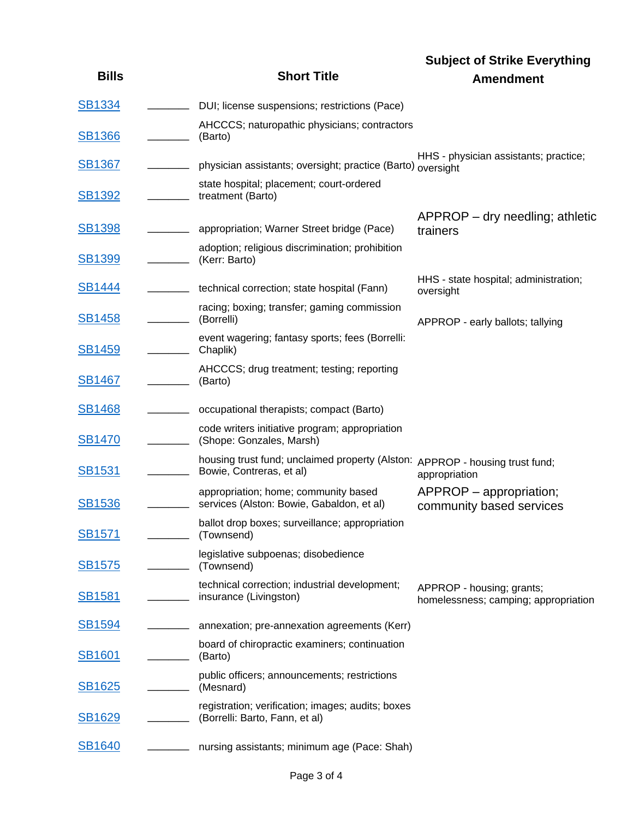|               |                                                                                                          | <b>Subject of Strike Everything</b>                               |
|---------------|----------------------------------------------------------------------------------------------------------|-------------------------------------------------------------------|
| <b>Bills</b>  | <b>Short Title</b>                                                                                       | <b>Amendment</b>                                                  |
| <b>SB1334</b> | DUI; license suspensions; restrictions (Pace)                                                            |                                                                   |
| <b>SB1366</b> | AHCCCS; naturopathic physicians; contractors<br>(Barto)                                                  |                                                                   |
| <b>SB1367</b> | physician assistants; oversight; practice (Barto)                                                        | HHS - physician assistants; practice;<br>oversight                |
| <b>SB1392</b> | state hospital; placement; court-ordered<br>treatment (Barto)                                            |                                                                   |
| <b>SB1398</b> | appropriation; Warner Street bridge (Pace)                                                               | $APPROP - dry$ needling; athletic<br>trainers                     |
| <b>SB1399</b> | adoption; religious discrimination; prohibition<br>(Kerr: Barto)                                         |                                                                   |
| <b>SB1444</b> | technical correction; state hospital (Fann)                                                              | HHS - state hospital; administration;<br>oversight                |
| <b>SB1458</b> | racing; boxing; transfer; gaming commission<br>(Borrelli)                                                | APPROP - early ballots; tallying                                  |
| <b>SB1459</b> | event wagering; fantasy sports; fees (Borrelli:<br>Chaplik)                                              |                                                                   |
| <b>SB1467</b> | AHCCCS; drug treatment; testing; reporting<br>(Barto)                                                    |                                                                   |
| <b>SB1468</b> | occupational therapists; compact (Barto)                                                                 |                                                                   |
| <b>SB1470</b> | code writers initiative program; appropriation<br>(Shope: Gonzales, Marsh)                               |                                                                   |
| <u>SB1531</u> | housing trust fund; unclaimed property (Alston: APPROP - housing trust fund;<br>Bowie, Contreras, et al) | appropriation                                                     |
| <b>SB1536</b> | appropriation; home; community based<br>services (Alston: Bowie, Gabaldon, et al)                        | $APPROP$ – appropriation;<br>community based services             |
| <b>SB1571</b> | ballot drop boxes; surveillance; appropriation<br>(Townsend)                                             |                                                                   |
| <u>SB1575</u> | legislative subpoenas; disobedience<br>(Townsend)                                                        |                                                                   |
| <b>SB1581</b> | technical correction; industrial development;<br>insurance (Livingston)                                  | APPROP - housing; grants;<br>homelessness; camping; appropriation |
| <b>SB1594</b> | annexation; pre-annexation agreements (Kerr)                                                             |                                                                   |
| <b>SB1601</b> | board of chiropractic examiners; continuation<br>(Barto)                                                 |                                                                   |
| <u>SB1625</u> | public officers; announcements; restrictions<br>(Mesnard)                                                |                                                                   |
| <b>SB1629</b> | registration; verification; images; audits; boxes<br>(Borrelli: Barto, Fann, et al)                      |                                                                   |
| <b>SB1640</b> | nursing assistants; minimum age (Pace: Shah)                                                             |                                                                   |